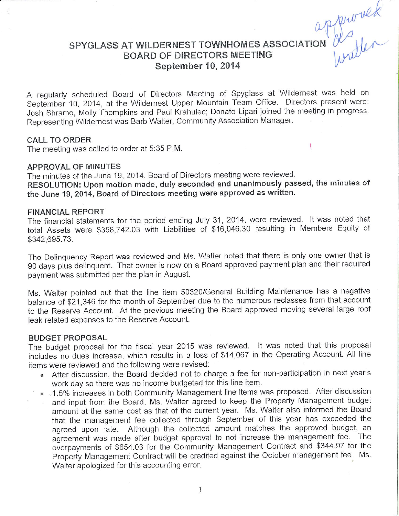# SPYGLASS AT WILDERNEST TOWNHOMES ASSOCIATION approved

A regularly scheduled Board of Directors Meeting of Spyglass at Wildernest was held on September 10, 2014, at the Wildernest Upper Mountain Team Office. Directors present were: Josh Shramo, Molly Thompkins and Paul Krahulec; Donato Lipari joined the meeting in progress. Representing Wildernest was Barb Walter, Community Association Manager.

 $\mathfrak{t}$ 

#### **CALL TO ORDER**

The meeting was called to order at 5:35 P.M.

#### **APPROVAL OF MINUTES**

The minutes of the June 19, 2014, Board of Directors meeting were reviewed. RESOLUTION: Upon motion made, duly seconded and unanimously passed, the minutes of the June 19, 2014, Board of Directors meeting were approved as written.

#### **FINANCIAL REPORT**

The financial statements for the period ending July 31, 2014, were reviewed. It was noted that total Assets were \$358,742.03 with Liabilities of \$16,046.30 resulting in Members Equity of \$342,695.73.

The Delinquency Report was reviewed and Ms. Walter noted that there is only one owner that is 90 days plus delinquent. That owner is now on a Board approved payment plan and their required payment was submitted per the plan in August.

Ms. Walter pointed out that the line item 50320/General Building Maintenance has a negative balance of \$21,346 for the month of September due to the numerous reclasses from that account to the Reserve Account. At the previous meeting the Board approved moving several large roof leak related expenses to the Reserve Account.

#### **BUDGET PROPOSAL**

The budget proposal for the fiscal year 2015 was reviewed. It was noted that this proposal includes no dues increase, which results in a loss of \$14,067 in the Operating Account. All line items were reviewed and the following were revised:

- After discussion, the Board decided not to charge a fee for non-participation in next year's work day so there was no income budgeted for this line item.
- 1.5% increases in both Community Management line items was proposed. After discussion
- and input from the Board, Ms. Walter agreed to keep the Property Management budget amount at the same cost as that of the current year. Ms. Walter also informed the Board that the management fee collected through September of this year has exceeded the agreed upon rate. Although the collected amount matches the approved budget, an agreement was made after budget approval to not increase the management fee. The overpayments of \$654.03 for the Community Management Contract and \$344.97 for the Property Management Contract will be credited against the October management fee. Ms. Walter apologized for this accounting error.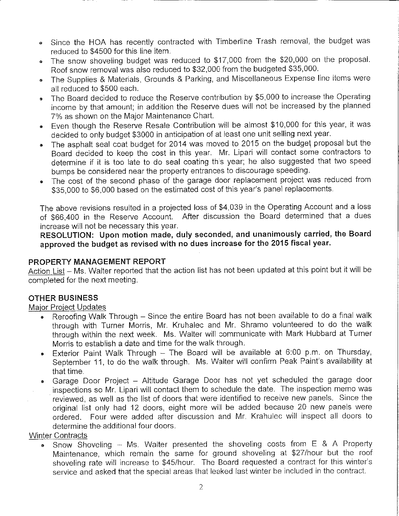- Since the HOA has recently contracted with Timberline Trash removal, the budget was reduced to \$4500 for this line item.
- The snow shoveling budget was reduced to \$17,000 from the \$20,000 on the proposal. Roof snow removal was also reduced to \$32,000 from the budgeted \$35,000.
- The Supplies & Materials, Grounds & Parking, and Miscellaneous Expense line items were all reduced to \$500 each.
- The Board decided to reduce the Reserve contribution by \$5,000 to increase the Operating  $\bullet$ income by that amount; in addition the Reserve dues will not be increased by the planned 7% as shown on the Major Maintenance Chart.
- Even though the Reserve Resale Contribution will be almost \$10,000 for this year, it was decided to only budget \$3000 in anticipation of at least one unit selling next year.
- The asphalt seal coat budget for 2014 was moved to 2015 on the budget proposal but the  $\bullet$ Board decided to keep the cost in this year. Mr. Lipari will contact some contractors to determine if it is too late to do seal coating this year; he also suggested that two speed bumps be considered near the property entrances to discourage speeding.
- The cost of the second phase of the garage door replacement project was reduced from  $\bullet$ \$35,000 to \$6,000 based on the estimated cost of this year's panel replacements.

The above revisions resulted in a projected loss of \$4,039 in the Operating Account and a loss of \$66,400 in the Reserve Account. After discussion the Board determined that a dues increase will not be necessary this year.

RESOLUTION: Upon motion made, duly seconded, and unanimously carried, the Board approved the budget as revised with no dues increase for the 2015 fiscal year.

# PROPERTY MANAGEMENT REPORT

Action List - Ms. Walter reported that the action list has not been updated at this point but it will be completed for the next meeting.

# **OTHER BUSINESS**

# Major Project Updates

- Reroofing Walk Through Since the entire Board has not been available to do a final walk through with Turner Morris, Mr. Kruhalec and Mr. Shramo volunteered to do the walk through within the next week. Ms. Walter will communicate with Mark Hubbard at Turner Morris to establish a date and time for the walk through.
- Exterior Paint Walk Through The Board will be available at 6:00 p.m. on Thursdav. September 11, to do the walk through. Ms. Walter will confirm Peak Paint's availability at that time.
- Garage Door Project Altitude Garage Door has not yet scheduled the garage door inspections so Mr. Lipari will contact them to schedule the date. The inspection memo was reviewed, as well as the list of doors that were identified to receive new panels. Since the original list only had 12 doors, eight more will be added because 20 new panels were ordered. Four were added after discussion and Mr. Krahulec will inspect all doors to determine the additional four doors.

# **Winter Contracts**

Snow Shoveling  $-$  Ms. Walter presented the shoveling costs from E & A Property Maintenance, which remain the same for ground shoveling at \$27/hour but the roof shoveling rate will increase to \$45/hour. The Board requested a contract for this winter's service and asked that the special areas that leaked last winter be included in the contract.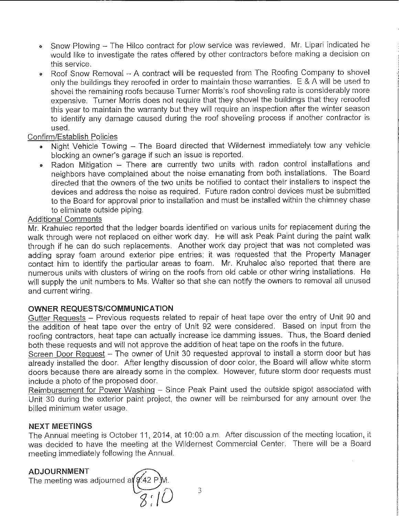- Snow Plowing The Hilco contract for plow service was reviewed. Mr. Lipari indicated he would like to investigate the rates offered by other contractors before making a decision on this service.
- Roof Snow Removal A contract will be requested from The Roofing Company to shovel only the buildings they reroofed in order to maintain those warranties. E & A will be used to shovel the remaining roofs because Turner Morris's roof shoveling rate is considerably more expensive. Turner Morris does not require that they shovel the buildings that they reroofed this year to maintain the warranty but they will require an inspection after the winter season to identify any damage caused during the roof shoveling process if another contractor is used.

Confirm/Establish Policies

- Night Vehicle Towing The Board directed that Wildernest immediately tow any vehicle blocking an owner's garage if such an issue is reported.
- . Radon Mitigation There are currently two units with radon control installations and neighbors have complained about the noise emanating from both installations. The Board directed that the owners of the two units be notified to contact their installers to inspect the devices and address the noise as required. Future radon control devices must be submitted to the Board for approval prior to installation and must be installed within the chimney chase to eliminate outside piping.

# **Additional Comments**

Mr. Krahulec reported that the ledger boards identified on various units for replacement during the walk through were not replaced on either work day. He will ask Peak Paint during the paint walk through if he can do such replacements. Another work day project that was not completed was adding spray foam around exterior pipe entries; it was requested that the Property Manager contact him to identify the particular areas to foam. Mr. Kruhalec also reported that there are numerous units with clusters of wiring on the roofs from old cable or other wiring installations. He will supply the unit numbers to Ms. Walter so that she can notify the owners to removal all unused and current wiring.

# OWNER REQUESTS/COMMUNICATION

Gutter Requests - Previous requests related to repair of heat tape over the entry of Unit 90 and the addition of heat tape over the entry of Unit 92 were considered. Based on input from the roofing contractors, heat tape can actually increase ice damming issues. Thus, the Board denied both these requests and will not approve the addition of heat tape on the roofs in the future.

Screen Door Request - The owner of Unit 30 requested approval to install a storm door but has already installed the door. After lengthy discussion of door color, the Board will allow white storm doors because there are already some in the complex. However, future storm door requests must include a photo of the proposed door.

Reimbursement for Power Washing - Since Peak Paint used the outside spigot associated with Unit 30 during the exterior paint project, the owner will be reimbursed for any amount over the billed minimum water usage.

# **NEXT MEETINGS**

The Annual meeting is October 11, 2014, at 10:00 a.m. After discussion of the meeting location, it was decided to have the meeting at the Wildernest Commercial Center. There will be a Board meeting immediately following the Annual.

# **ADJOURNMENT**

The meeting was adjourned at  $\partial$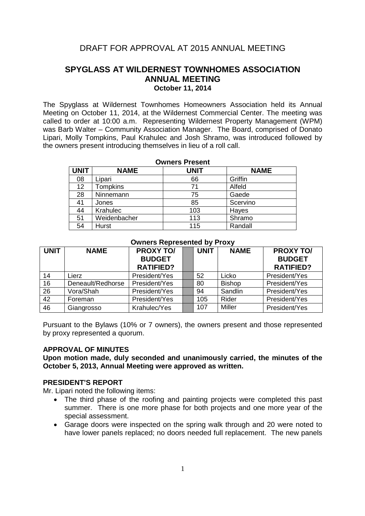# **SPYGLASS AT WILDERNEST TOWNHOMES ASSOCIATION ANNUAL MEETING October 11, 2014**

The Spyglass at Wildernest Townhomes Homeowners Association held its Annual Meeting on October 11, 2014, at the Wildernest Commercial Center. The meeting was called to order at 10:00 a.m. Representing Wildernest Property Management (WPM) was Barb Walter – Community Association Manager. The Board, comprised of Donato Lipari, Molly Tompkins, Paul Krahulec and Josh Shramo, was introduced followed by the owners present introducing themselves in lieu of a roll call.

| <b>Owners Present</b> |                 |             |             |  |  |  |
|-----------------------|-----------------|-------------|-------------|--|--|--|
| <b>UNIT</b>           | <b>NAME</b>     | <b>UNIT</b> | <b>NAME</b> |  |  |  |
| 08                    | Lipari          | 66          | Griffin     |  |  |  |
| $12 \overline{ }$     | <b>Tompkins</b> | 71          | Alfeld      |  |  |  |
| 28                    | Ninnemann       | 75          | Gaede       |  |  |  |
| 41                    | Jones           | 85          | Scervino    |  |  |  |
| 44                    | Krahulec        | 103         | Hayes       |  |  |  |
| 51                    | Weidenbacher    | 113         | Shramo      |  |  |  |
| 54                    | <b>Hurst</b>    | 115         | Randall     |  |  |  |

| <b>UNIT</b> | <b>NAME</b>       | <b>PROXY TO/</b><br><b>BUDGET</b><br><b>RATIFIED?</b> | <b>UNIT</b> | <b>NAME</b>   | <b>PROXY TO/</b><br><b>BUDGET</b><br><b>RATIFIED?</b> |
|-------------|-------------------|-------------------------------------------------------|-------------|---------------|-------------------------------------------------------|
| 14          | Lierz             | President/Yes                                         | 52          | Licko         | President/Yes                                         |
| 16          | Deneault/Redhorse | President/Yes                                         | 80          | <b>Bishop</b> | President/Yes                                         |
| 26          | Vora/Shah         | President/Yes                                         | 94          | Sandlin       | President/Yes                                         |
| 42          | Foreman           | President/Yes                                         | 105         | Rider         | President/Yes                                         |
| 46          | Giangrosso        | Krahulec/Yes                                          | 107         | Miller        | President/Yes                                         |

# **Owners Represented by Proxy**

Pursuant to the Bylaws (10% or 7 owners), the owners present and those represented by proxy represented a quorum.

#### **APPROVAL OF MINUTES**

**Upon motion made, duly seconded and unanimously carried, the minutes of the October 5, 2013, Annual Meeting were approved as written.**

#### **PRESIDENT'S REPORT**

Mr. Lipari noted the following items:

- The third phase of the roofing and painting projects were completed this past summer. There is one more phase for both projects and one more year of the special assessment.
- Garage doors were inspected on the spring walk through and 20 were noted to have lower panels replaced; no doors needed full replacement. The new panels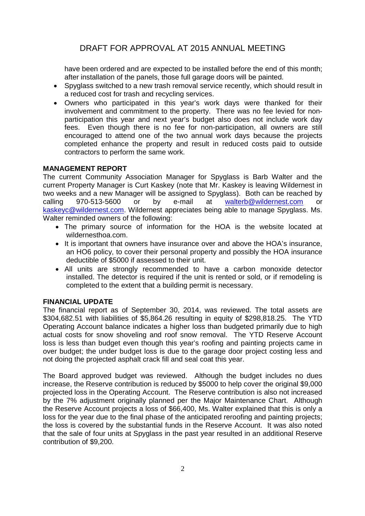have been ordered and are expected to be installed before the end of this month; after installation of the panels, those full garage doors will be painted.

- Spyglass switched to a new trash removal service recently, which should result in a reduced cost for trash and recycling services.
- Owners who participated in this year's work days were thanked for their involvement and commitment to the property. There was no fee levied for nonparticipation this year and next year's budget also does not include work day fees. Even though there is no fee for non-participation, all owners are still encouraged to attend one of the two annual work days because the projects completed enhance the property and result in reduced costs paid to outside contractors to perform the same work.

# **MANAGEMENT REPORT**

The current Community Association Manager for Spyglass is Barb Walter and the current Property Manager is Curt Kaskey (note that Mr. Kaskey is leaving Wildernest in two weeks and a new Manager will be assigned to Spyglass). Both can be reached by calling 970-513-5600 or by e-mail at walterb@wildernest.com or kaskeyc@wildernest.com. Wildernest appreciates being able to manage Spyglass. Ms. Walter reminded owners of the following:

- The primary source of information for the HOA is the website located at wildernesthoa.com.
- It is important that owners have insurance over and above the HOA's insurance, an HO6 policy, to cover their personal property and possibly the HOA insurance deductible of \$5000 if assessed to their unit.
- All units are strongly recommended to have a carbon monoxide detector installed. The detector is required if the unit is rented or sold, or if remodeling is completed to the extent that a building permit is necessary.

# **FINANCIAL UPDATE**

The financial report as of September 30, 2014, was reviewed. The total assets are \$304,682.51 with liabilities of \$5,864.26 resulting in equity of \$298,818.25. The YTD Operating Account balance indicates a higher loss than budgeted primarily due to high actual costs for snow shoveling and roof snow removal. The YTD Reserve Account loss is less than budget even though this year's roofing and painting projects came in over budget; the under budget loss is due to the garage door project costing less and not doing the projected asphalt crack fill and seal coat this year.

The Board approved budget was reviewed. Although the budget includes no dues increase, the Reserve contribution is reduced by \$5000 to help cover the original \$9,000 projected loss in the Operating Account. The Reserve contribution is also not increased by the 7% adjustment originally planned per the Major Maintenance Chart. Although the Reserve Account projects a loss of \$66,400, Ms. Walter explained that this is only a loss for the year due to the final phase of the anticipated reroofing and painting projects; the loss is covered by the substantial funds in the Reserve Account. It was also noted that the sale of four units at Spyglass in the past year resulted in an additional Reserve contribution of \$9,200.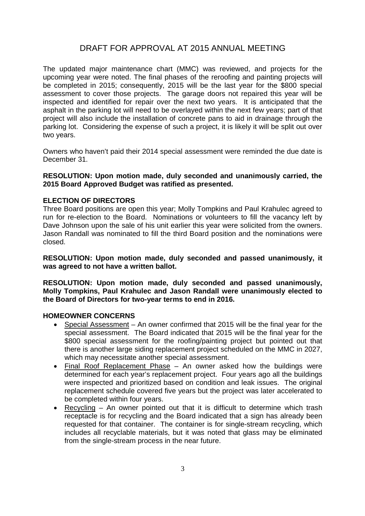The updated major maintenance chart (MMC) was reviewed, and projects for the upcoming year were noted. The final phases of the reroofing and painting projects will be completed in 2015; consequently, 2015 will be the last year for the \$800 special assessment to cover those projects. The garage doors not repaired this year will be inspected and identified for repair over the next two years. It is anticipated that the asphalt in the parking lot will need to be overlayed within the next few years; part of that project will also include the installation of concrete pans to aid in drainage through the parking lot. Considering the expense of such a project, it is likely it will be split out over two years.

Owners who haven't paid their 2014 special assessment were reminded the due date is December 31.

# **RESOLUTION: Upon motion made, duly seconded and unanimously carried, the 2015 Board Approved Budget was ratified as presented.**

# **ELECTION OF DIRECTORS**

Three Board positions are open this year; Molly Tompkins and Paul Krahulec agreed to run for re-election to the Board. Nominations or volunteers to fill the vacancy left by Dave Johnson upon the sale of his unit earlier this year were solicited from the owners. Jason Randall was nominated to fill the third Board position and the nominations were closed.

**RESOLUTION: Upon motion made, duly seconded and passed unanimously, it was agreed to not have a written ballot.**

**RESOLUTION: Upon motion made, duly seconded and passed unanimously, Molly Tompkins, Paul Krahulec and Jason Randall were unanimously elected to the Board of Directors for two-year terms to end in 2016.**

# **HOMEOWNER CONCERNS**

- Special Assessment An owner confirmed that 2015 will be the final year for the special assessment. The Board indicated that 2015 will be the final year for the \$800 special assessment for the roofing/painting project but pointed out that there is another large siding replacement project scheduled on the MMC in 2027, which may necessitate another special assessment.
- Final Roof Replacement Phase An owner asked how the buildings were determined for each year's replacement project. Four years ago all the buildings were inspected and prioritized based on condition and leak issues. The original replacement schedule covered five years but the project was later accelerated to be completed within four years.
- Recycling An owner pointed out that it is difficult to determine which trash receptacle is for recycling and the Board indicated that a sign has already been requested for that container. The container is for single-stream recycling, which includes all recyclable materials, but it was noted that glass may be eliminated from the single-stream process in the near future.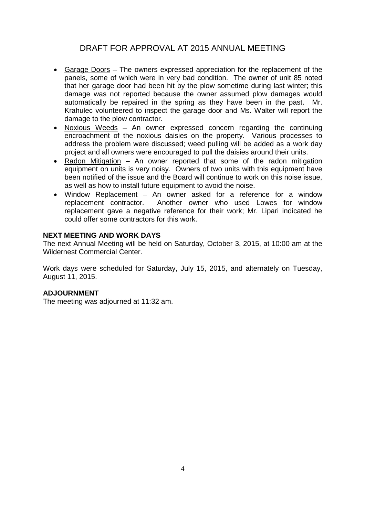- Garage Doors The owners expressed appreciation for the replacement of the panels, some of which were in very bad condition. The owner of unit 85 noted that her garage door had been hit by the plow sometime during last winter; this damage was not reported because the owner assumed plow damages would automatically be repaired in the spring as they have been in the past. Mr. Krahulec volunteered to inspect the garage door and Ms. Walter will report the damage to the plow contractor.
- Noxious Weeds An owner expressed concern regarding the continuing encroachment of the noxious daisies on the property. Various processes to address the problem were discussed; weed pulling will be added as a work day project and all owners were encouraged to pull the daisies around their units.
- Radon Mitigation An owner reported that some of the radon mitigation equipment on units is very noisy. Owners of two units with this equipment have been notified of the issue and the Board will continue to work on this noise issue, as well as how to install future equipment to avoid the noise.
- Window Replacement An owner asked for a reference for a window replacement contractor. Another owner who used Lowes for window replacement gave a negative reference for their work; Mr. Lipari indicated he could offer some contractors for this work.

# **NEXT MEETING AND WORK DAYS**

The next Annual Meeting will be held on Saturday, October 3, 2015, at 10:00 am at the Wildernest Commercial Center.

Work days were scheduled for Saturday, July 15, 2015, and alternately on Tuesday, August 11, 2015.

# **ADJOURNMENT**

The meeting was adjourned at 11:32 am.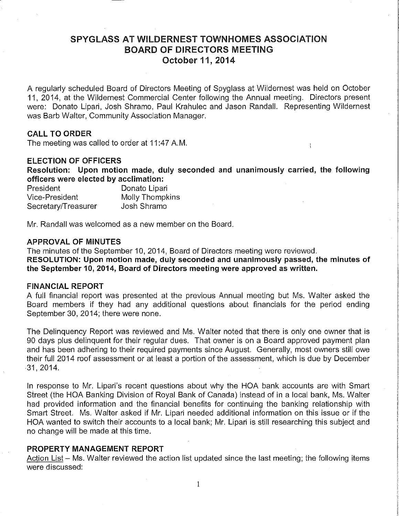# **SPYGLASS AT WILDERNEST TOWNHOMES ASSOCIATION BOARD OF DIRECTORS MEETING** October 11, 2014

A regularly scheduled Board of Directors Meeting of Spyglass at Wildernest was held on October 11, 2014, at the Wildernest Commercial Center following the Annual meeting. Directors present were: Donato Lipari, Josh Shramo, Paul Krahulec and Jason Randall. Representing Wildernest was Barb Walter, Community Association Manager.

# **CALL TO ORDER**

The meeting was called to order at 11:47 A.M.

#### **ELECTION OF OFFICERS**

Resolution: Upon motion made, duly seconded and unanimously carried, the following officers were elected by acclimation:

 $\mathbf{1}$ 

| President           | Donato Lipari   |
|---------------------|-----------------|
| Vice-President      | Molly Thompkins |
| Secretary/Treasurer | Josh Shramo     |

Mr. Randall was welcomed as a new member on the Board.

## **APPROVAL OF MINUTES**

The minutes of the September 10, 2014, Board of Directors meeting were reviewed. RESOLUTION: Upon motion made, duly seconded and unanimously passed, the minutes of the September 10, 2014, Board of Directors meeting were approved as written.

#### **FINANCIAL REPORT**

A full financial report was presented at the previous Annual meeting but Ms. Walter asked the Board members if they had any additional questions about financials for the period ending September 30, 2014; there were none.

The Delinguency Report was reviewed and Ms. Walter noted that there is only one owner that is 90 days plus delinquent for their regular dues. That owner is on a Board approved payment plan and has been adhering to their required payments since August. Generally, most owners still owe their full 2014 roof assessment or at least a portion of the assessment, which is due by December 31, 2014.

In response to Mr. Lipari's recent questions about why the HOA bank accounts are with Smart Street (the HOA Banking Division of Royal Bank of Canada) instead of in a local bank, Ms. Walter had provided information and the financial benefits for continuing the banking relationship with Smart Street. Ms. Walter asked if Mr. Lipari needed additional information on this issue or if the HOA wanted to switch their accounts to a local bank; Mr. Lipari is still researching this subject and no change will be made at this time.

#### **PROPERTY MANAGEMENT REPORT**

Action List – Ms. Walter reviewed the action list updated since the last meeting; the following items were discussed:

 $\mathbf{1}$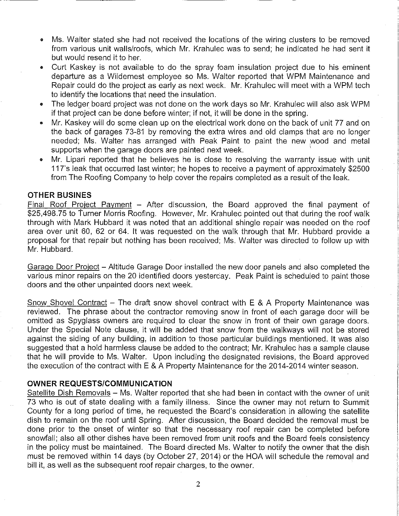- Ms. Walter stated she had not received the locations of the wiring clusters to be removed from various unit walls/roofs, which Mr. Krahulec was to send; he indicated he had sent it but would resend it to her.
- Curt Kaskey is not available to do the spray foam insulation project due to his eminent departure as a Wildernest employee so Ms. Walter reported that WPM Maintenance and Repair could do the project as early as next week. Mr. Krahulec will meet with a WPM tech to identify the locations that need the insulation.
- The ledger board project was not done on the work days so Mr. Krahulec will also ask WPM if that project can be done before winter; if not, it will be done in the spring.
- Mr. Kaskey will do some clean up on the electrical work done on the back of unit 77 and on  $\bullet$ the back of garages 73-81 by removing the extra wires and old clamps that are no longer needed; Ms. Walter has arranged with Peak Paint to paint the new wood and metal supports when the garage doors are painted next week.
- Mr. Lipari reported that he believes he is close to resolving the warranty issue with unit 117's leak that occurred last winter; he hopes to receive a payment of approximately \$2500 from The Roofing Company to help cover the repairs completed as a result of the leak.

# **OTHER BUSINES**

Final Roof Project Payment – After discussion, the Board approved the final payment of \$25,498.75 to Turner Morris Roofing. However, Mr. Krahulec pointed out that during the roof walk through with Mark Hubbard it was noted that an additional shingle repair was needed on the roof area over unit 60, 62 or 64. It was requested on the walk through that Mr. Hubbard provide a proposal for that repair but nothing has been received; Ms. Walter was directed to follow up with Mr. Hubbard.

Garage Door Project – Altitude Garage Door installed the new door panels and also completed the various minor repairs on the 20 identified doors yesterday. Peak Paint is scheduled to paint those doors and the other unpainted doors next week.

Snow Shovel Contract – The draft snow shovel contract with  $E \& A$  Property Maintenance was reviewed. The phrase about the contractor removing snow in front of each garage door will be omitted as Spyglass owners are required to clear the snow in front of their own garage doors. Under the Special Note clause, it will be added that snow from the walkways will not be stored against the siding of any building, in addition to those particular buildings mentioned. It was also suggested that a hold harmless clause be added to the contract: Mr. Krahulec has a sample clause that he will provide to Ms. Walter. Upon including the designated revisions, the Board approved the execution of the contract with E & A Property Maintenance for the 2014-2014 winter season.

# OWNER REQUESTS/COMMUNICATION

Satellite Dish Removals – Ms. Walter reported that she had been in contact with the owner of unit 73 who is out of state dealing with a family illness. Since the owner may not return to Summit County for a long period of time, he requested the Board's consideration in allowing the satellite dish to remain on the roof until Spring. After discussion, the Board decided the removal must be done prior to the onset of winter so that the necessary roof repair can be completed before snowfall; also all other dishes have been removed from unit roofs and the Board feels consistency in the policy must be maintained. The Board directed Ms. Walter to notify the owner that the dish must be removed within 14 days (by October 27, 2014) or the HOA will schedule the removal and bill it, as well as the subsequent roof repair charges, to the owner.